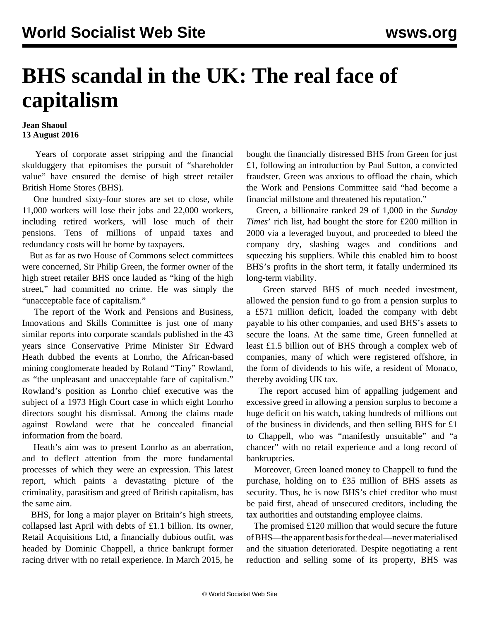## **BHS scandal in the UK: The real face of capitalism**

## **Jean Shaoul 13 August 2016**

 Years of corporate asset stripping and the financial skulduggery that epitomises the pursuit of "shareholder value" have ensured the demise of high street retailer British Home Stores (BHS).

 One hundred sixty-four stores are set to close, while 11,000 workers will lose their jobs and 22,000 workers, including retired workers, will lose much of their pensions. Tens of millions of unpaid taxes and redundancy costs will be borne by taxpayers.

 But as far as two House of Commons select committees were concerned, Sir Philip Green, the former owner of the high street retailer BHS once lauded as "king of the high street," had committed no crime. He was simply the "unacceptable face of capitalism."

 The report of the Work and Pensions and Business, Innovations and Skills Committee is just one of many similar reports into corporate scandals published in the 43 years since Conservative Prime Minister Sir Edward Heath dubbed the events at Lonrho, the African-based mining conglomerate headed by Roland "Tiny" Rowland, as "the unpleasant and unacceptable face of capitalism." Rowland's position as Lonrho chief executive was the subject of a 1973 High Court case in which eight Lonrho directors sought his dismissal. Among the claims made against Rowland were that he concealed financial information from the board.

 Heath's aim was to present Lonrho as an aberration, and to deflect attention from the more fundamental processes of which they were an expression. This latest report, which paints a devastating picture of the criminality, parasitism and greed of British capitalism, has the same aim.

 BHS, for long a major player on Britain's high streets, collapsed last April with debts of £1.1 billion. Its owner, Retail Acquisitions Ltd, a financially dubious outfit, was headed by Dominic Chappell, a thrice bankrupt former racing driver with no retail experience. In March 2015, he bought the financially distressed BHS from Green for just £1, following an introduction by Paul Sutton, a convicted fraudster. Green was anxious to offload the chain, which the Work and Pensions Committee said "had become a financial millstone and threatened his reputation."

 Green, a billionaire ranked 29 of 1,000 in the *Sunday Times*' rich list, had bought the store for £200 million in 2000 via a leveraged buyout, and proceeded to bleed the company dry, slashing wages and conditions and squeezing his suppliers. While this enabled him to boost BHS's profits in the short term, it fatally undermined its long-term viability.

 Green starved BHS of much needed investment, allowed the pension fund to go from a pension surplus to a £571 million deficit, loaded the company with debt payable to his other companies, and used BHS's assets to secure the loans. At the same time, Green funnelled at least £1.5 billion out of BHS through a complex web of companies, many of which were registered offshore, in the form of dividends to his wife, a resident of Monaco, thereby avoiding UK tax.

 The report accused him of appalling judgement and excessive greed in allowing a pension surplus to become a huge deficit on his watch, taking hundreds of millions out of the business in dividends, and then selling BHS for £1 to Chappell, who was "manifestly unsuitable" and "a chancer" with no retail experience and a long record of bankruptcies.

 Moreover, Green loaned money to Chappell to fund the purchase, holding on to £35 million of BHS assets as security. Thus, he is now BHS's chief creditor who must be paid first, ahead of unsecured creditors, including the tax authorities and outstanding employee claims.

 The promised £120 million that would secure the future of BHS—the apparent basis for the deal—never materialised and the situation deteriorated. Despite negotiating a rent reduction and selling some of its property, BHS was